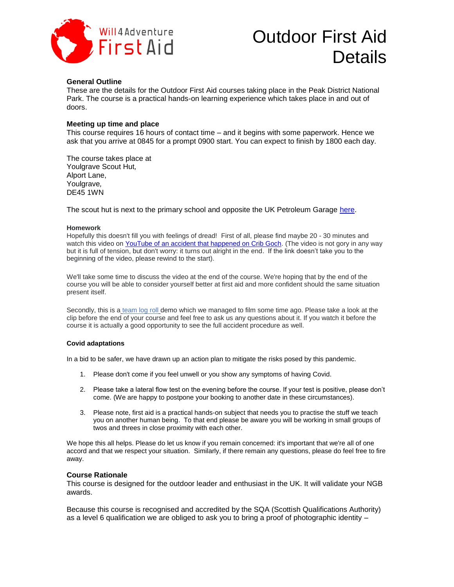

# Outdoor First Aid First Aid Culubu I list Aid

## **General Outline**

These are the details for the Outdoor First Aid courses taking place in the Peak District National Park. The course is a practical hands-on learning experience which takes place in and out of doors.

### **Meeting up time and place**

This course requires 16 hours of contact time – and it begins with some paperwork. Hence we ask that you arrive at 0845 for a prompt 0900 start. You can expect to finish by 1800 each day.

The course takes place at Youlgrave Scout Hut*,*  Alport Lane, Youlgrave*,*  DE45 1WN

The scout hut is next to the primary school and opposite the UK Petroleum Garage [here.](https://goo.gl/maps/RE6zpVJP3qRkBDoG9)

### **Homework**

Hopefully this doesn't fill you with feelings of dread! First of all, please find maybe 20 - 30 minutes and watch this video on YouTube of an [accident that happened on Crib Goch.](https://youtu.be/CRf7CnhOzXY) (The video is not gory in any way but it is full of tension, but don't worry: it turns out alright in the end. If the link doesn't take you to the beginning of the video, please rewind to the start).

We'll take some time to discuss the video at the end of the course. We're hoping that by the end of the course you will be able to consider yourself better at first aid and more confident should the same situation present itself.

Secondly, this is a [team log roll](https://youtu.be/P1O5pClXSYI) demo which we managed to film some time ago. Please take a look at the clip before the end of your course and feel free to ask us any questions about it. If you watch it before the course it is actually a good opportunity to see the full accident procedure as well.

### **Covid adaptations**

In a bid to be safer, we have drawn up an action plan to mitigate the risks posed by this pandemic.

- 1. Please don't come if you feel unwell or you show any symptoms of having Covid.
- 2. Please take a lateral flow test on the evening before the course. If your test is positive, please don't come. (We are happy to postpone your booking to another date in these circumstances).
- 3. Please note, first aid is a practical hands-on subject that needs you to practise the stuff we teach you on another human being. To that end please be aware you will be working in small groups of twos and threes in close proximity with each other.

We hope this all helps. Please do let us know if you remain concerned: it's important that we're all of one accord and that we respect your situation. Similarly, if there remain any questions, please do feel free to fire away.

## **Course Rationale**

This course is designed for the outdoor leader and enthusiast in the UK. It will validate your NGB awards.

Because this course is recognised and accredited by the SQA (Scottish Qualifications Authority) as a level 6 qualification we are obliged to ask you to bring a proof of photographic identity –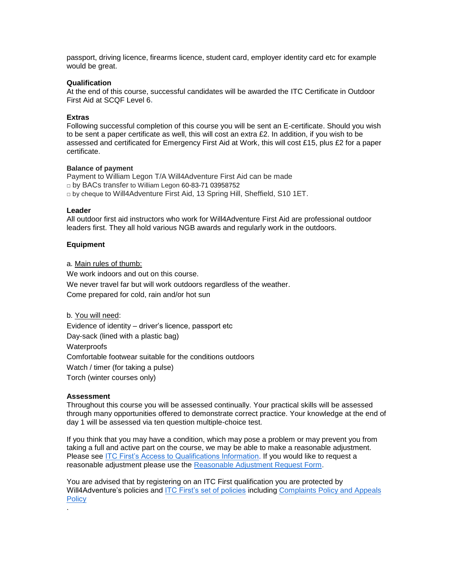passport, driving licence, firearms licence, student card, employer identity card etc for example would be great.

### **Qualification**

At the end of this course, successful candidates will be awarded the ITC Certificate in Outdoor First Aid at SCQF Level 6**.**

### **Extras**

Following successful completion of this course you will be sent an E-certificate. Should you wish to be sent a paper certificate as well, this will cost an extra £2. In addition, if you wish to be assessed and certificated for Emergency First Aid at Work, this will cost £15, plus £2 for a paper certificate.

### **Balance of payment**

Payment to William Legon T/A Will4Adventure First Aid can be made □ by BACs transfer to William Legon 60-83-71 03958752  $\Box$  by cheque to Will4Adventure First Aid, 13 Spring Hill, Sheffield, S10 1ET.

#### **Leader**

All outdoor first aid instructors who work for Will4Adventure First Aid are professional outdoor leaders first. They all hold various NGB awards and regularly work in the outdoors.

### **Equipment**

a. Main rules of thumb:

We work indoors and out on this course. We never travel far but will work outdoors regardless of the weather. Come prepared for cold, rain and/or hot sun

b. You will need: Evidence of identity – driver's licence, passport etc Day-sack (lined with a plastic bag) **Waterproofs** Comfortable footwear suitable for the conditions outdoors Watch / timer (for taking a pulse) Torch (winter courses only)

### **Assessment**

.

Throughout this course you will be assessed continually. Your practical skills will be assessed through many opportunities offered to demonstrate correct practice. Your knowledge at the end of day 1 will be assessed via ten question multiple-choice test.

If you think that you may have a condition, which may pose a problem or may prevent you from taking a full and active part on the course, we may be able to make a reasonable adjustment. Please see [ITC First's Access to Qualifications Information.](https://www.itcfirst.org.uk/policies/access-to-qualifications--reasonable-adjustments--special-considerations/5.htm) If you would like to request a reasonable adjustment please use the [Reasonable Adjustment Request Form.](https://www.itcfirst.org.uk/policies/procedures--forms/2.htm)

You are advised that by registering on an ITC First qualification you are protected by Will4Adventure's policies and [ITC First's set of policies](https://www.itcfirst.org.uk/policies/policies/1.htm) including [Complaints Policy and Appeals](https://www.itcfirst.org.uk/policies/policies/1.htm)  **[Policy](https://www.itcfirst.org.uk/policies/policies/1.htm)**